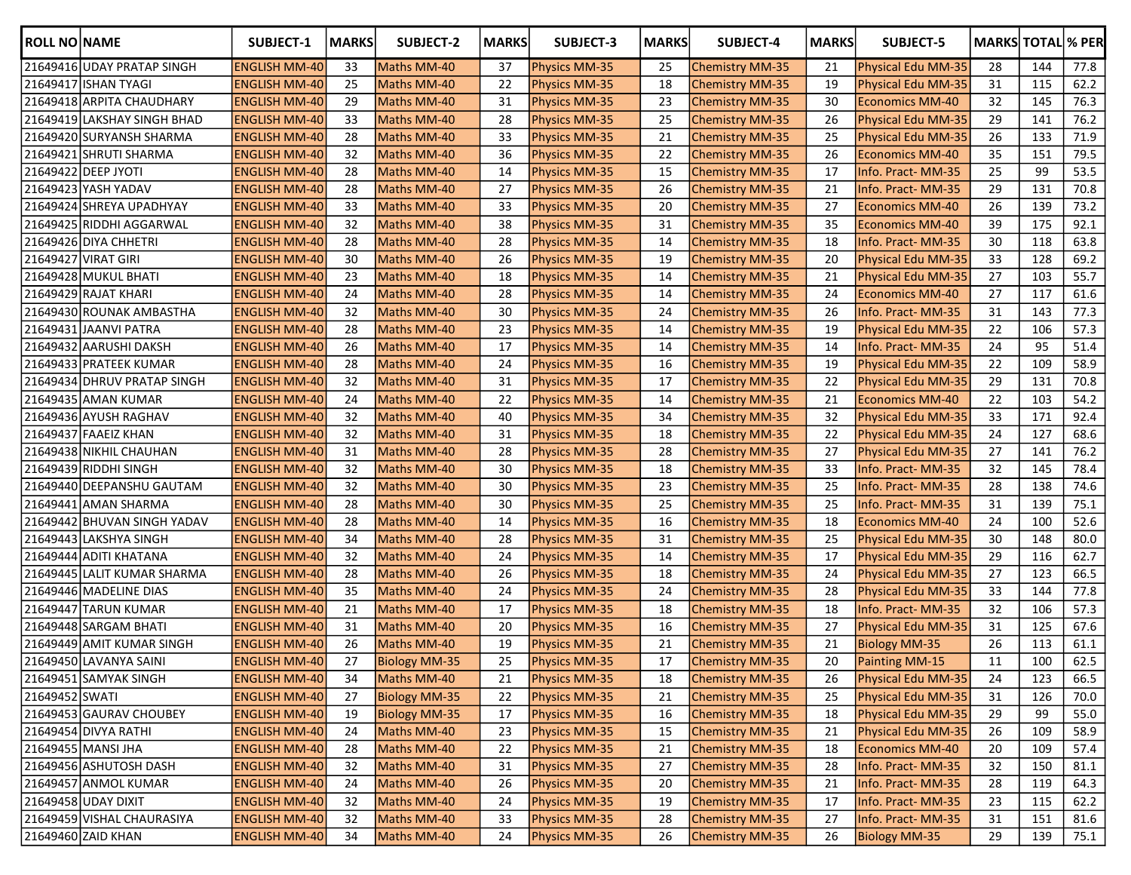| <b>ROLL NO NAME</b> |                             | <b>SUBJECT-1</b>     | <b>MARKS</b> | SUBJECT-2            | <b>MARKS</b> | SUBJECT-3            | <b>MARKS</b> | <b>SUBJECT-4</b>       | <b>MARKS</b> | SUBJECT-5                 | <b>MARKS TOTAL % PER</b> |     |      |
|---------------------|-----------------------------|----------------------|--------------|----------------------|--------------|----------------------|--------------|------------------------|--------------|---------------------------|--------------------------|-----|------|
|                     | 21649416 UDAY PRATAP SINGH  | <b>ENGLISH MM-40</b> | 33           | Maths MM-40          | 37           | Physics MM-35        | 25           | <b>Chemistry MM-35</b> | 21           | Physical Edu MM-35        | 28                       | 144 | 77.8 |
|                     | 21649417 ISHAN TYAGI        | <b>ENGLISH MM-40</b> | 25           | Maths MM-40          | 22           | <b>Physics MM-35</b> | 18           | <b>Chemistry MM-35</b> | 19           | Physical Edu MM-35        | 31                       | 115 | 62.2 |
|                     | 21649418 ARPITA CHAUDHARY   | <b>ENGLISH MM-40</b> | 29           | Maths MM-40          | 31           | <b>Physics MM-35</b> | 23           | <b>Chemistry MM-35</b> | 30           | <b>Economics MM-40</b>    | 32                       | 145 | 76.3 |
|                     | 21649419 LAKSHAY SINGH BHAD | <b>ENGLISH MM-40</b> | 33           | Maths MM-40          | 28           | <b>Physics MM-35</b> | 25           | Chemistry MM-35        | 26           | <b>Physical Edu MM-35</b> | 29                       | 141 | 76.2 |
|                     | 21649420 SURYANSH SHARMA    | <b>ENGLISH MM-40</b> | 28           | Maths MM-40          | 33           | Physics MM-35        | 21           | Chemistry MM-35        | 25           | <b>Physical Edu MM-35</b> | 26                       | 133 | 71.9 |
|                     | 21649421 SHRUTI SHARMA      | <b>ENGLISH MM-40</b> | 32           | Maths MM-40          | 36           | Physics MM-35        | 22           | Chemistry MM-35        | 26           | <b>Economics MM-40</b>    | 35                       | 151 | 79.5 |
|                     | 21649422 DEEP JYOTI         | <b>ENGLISH MM-40</b> | 28           | Maths MM-40          | 14           | <b>Physics MM-35</b> | 15           | Chemistry MM-35        | 17           | Info. Pract-MM-35         | 25                       | 99  | 53.5 |
|                     | 21649423 YASH YADAV         | <b>ENGLISH MM-40</b> | 28           | Maths MM-40          | 27           | <b>Physics MM-35</b> | 26           | <b>Chemistry MM-35</b> | 21           | Info. Pract-MM-35         | 29                       | 131 | 70.8 |
|                     | 21649424 SHREYA UPADHYAY    | <b>ENGLISH MM-40</b> | 33           | Maths MM-40          | 33           | <b>Physics MM-35</b> | 20           | <b>Chemistry MM-35</b> | 27           | <b>Economics MM-40</b>    | 26                       | 139 | 73.2 |
|                     | 21649425 RIDDHI AGGARWAL    | <b>ENGLISH MM-40</b> | 32           | Maths MM-40          | 38           | <b>Physics MM-35</b> | 31           | <b>Chemistry MM-35</b> | 35           | <b>Economics MM-40</b>    | 39                       | 175 | 92.1 |
|                     | 21649426 DIYA CHHETRI       | <b>ENGLISH MM-40</b> | 28           | Maths MM-40          | 28           | <b>Physics MM-35</b> | 14           | <b>Chemistry MM-35</b> | 18           | Info. Pract-MM-35         | 30                       | 118 | 63.8 |
|                     | 21649427 VIRAT GIRI         | <b>ENGLISH MM-40</b> | 30           | Maths MM-40          | 26           | <b>Physics MM-35</b> | 19           | <b>Chemistry MM-35</b> | 20           | Physical Edu MM-35        | 33                       | 128 | 69.2 |
|                     | 21649428 MUKUL BHATI        | <b>ENGLISH MM-40</b> | 23           | Maths MM-40          | 18           | <b>Physics MM-35</b> | 14           | <b>Chemistry MM-35</b> | 21           | Physical Edu MM-35        | 27                       | 103 | 55.7 |
|                     | 21649429 RAJAT KHARI        | <b>ENGLISH MM-40</b> | 24           | Maths MM-40          | 28           | <b>Physics MM-35</b> | 14           | <b>Chemistry MM-35</b> | 24           | <b>Economics MM-40</b>    | 27                       | 117 | 61.6 |
|                     | 21649430 ROUNAK AMBASTHA    | <b>ENGLISH MM-40</b> | 32           | Maths MM-40          | 30           | <b>Physics MM-35</b> | 24           | <b>Chemistry MM-35</b> | 26           | Info. Pract-MM-35         | 31                       | 143 | 77.3 |
|                     | 21649431 JAANVI PATRA       | <b>ENGLISH MM-40</b> | 28           | Maths MM-40          | 23           | <b>Physics MM-35</b> | 14           | <b>Chemistry MM-35</b> | 19           | Physical Edu MM-35        | 22                       | 106 | 57.3 |
|                     | 21649432 AARUSHI DAKSH      | <b>ENGLISH MM-40</b> | 26           | Maths MM-40          | 17           | <b>Physics MM-35</b> | 14           | <b>Chemistry MM-35</b> | 14           | Info. Pract-MM-35         | 24                       | 95  | 51.4 |
|                     | 21649433 PRATEEK KUMAR      | <b>ENGLISH MM-40</b> | 28           | Maths MM-40          | 24           | <b>Physics MM-35</b> | 16           | Chemistry MM-35        | 19           | Physical Edu MM-35        | 22                       | 109 | 58.9 |
|                     | 21649434 DHRUV PRATAP SINGH | <b>ENGLISH MM-40</b> | 32           | Maths MM-40          | 31           | <b>Physics MM-35</b> | 17           | <b>Chemistry MM-35</b> | 22           | Physical Edu MM-35        | 29                       | 131 | 70.8 |
|                     | 21649435 AMAN KUMAR         | <b>ENGLISH MM-40</b> | 24           | Maths MM-40          | 22           | <b>Physics MM-35</b> | 14           | <b>Chemistry MM-35</b> | 21           | <b>Economics MM-40</b>    | 22                       | 103 | 54.2 |
|                     | 21649436 AYUSH RAGHAV       | <b>ENGLISH MM-40</b> | 32           | Maths MM-40          | 40           | <b>Physics MM-35</b> | 34           | <b>Chemistry MM-35</b> | 32           | <b>Physical Edu MM-35</b> | 33                       | 171 | 92.4 |
|                     | 21649437 FAAEIZ KHAN        | <b>ENGLISH MM-40</b> | 32           | Maths MM-40          | 31           | <b>Physics MM-35</b> | 18           | <b>Chemistry MM-35</b> | 22           | Physical Edu MM-35        | 24                       | 127 | 68.6 |
|                     | 21649438 NIKHIL CHAUHAN     | <b>ENGLISH MM-40</b> | 31           | Maths MM-40          | 28           | <b>Physics MM-35</b> | 28           | <b>Chemistry MM-35</b> | 27           | Physical Edu MM-35        | 27                       | 141 | 76.2 |
|                     | 21649439 RIDDHI SINGH       | <b>ENGLISH MM-40</b> | 32           | Maths MM-40          | 30           | <b>Physics MM-35</b> | 18           | <b>Chemistry MM-35</b> | 33           | Info. Pract-MM-35         | 32                       | 145 | 78.4 |
|                     | 21649440 DEEPANSHU GAUTAM   | <b>ENGLISH MM-40</b> | 32           | Maths MM-40          | 30           | <b>Physics MM-35</b> | 23           | <b>Chemistry MM-35</b> | 25           | Info. Pract-MM-35         | 28                       | 138 | 74.6 |
|                     | 21649441 AMAN SHARMA        | <b>ENGLISH MM-40</b> | 28           | Maths MM-40          | 30           | <b>Physics MM-35</b> | 25           | <b>Chemistry MM-35</b> | 25           | Info. Pract-MM-35         | 31                       | 139 | 75.1 |
|                     | 21649442 BHUVAN SINGH YADAV | <b>ENGLISH MM-40</b> | 28           | Maths MM-40          | 14           | <b>Physics MM-35</b> | 16           | <b>Chemistry MM-35</b> | 18           | <b>Economics MM-40</b>    | 24                       | 100 | 52.6 |
|                     | 21649443 LAKSHYA SINGH      | <b>ENGLISH MM-40</b> | 34           | Maths MM-40          | 28           | <b>Physics MM-35</b> | 31           | <b>Chemistry MM-35</b> | 25           | Physical Edu MM-35        | 30                       | 148 | 80.0 |
|                     | 21649444 ADITI KHATANA      | <b>ENGLISH MM-40</b> | 32           | Maths MM-40          | 24           | <b>Physics MM-35</b> | 14           | Chemistry MM-35        | 17           | Physical Edu MM-35        | 29                       | 116 | 62.7 |
|                     | 21649445 LALIT KUMAR SHARMA | <b>ENGLISH MM-40</b> | 28           | Maths MM-40          | 26           | Physics MM-35        | 18           | Chemistry MM-35        | 24           | Physical Edu MM-35        | 27                       | 123 | 66.5 |
|                     | 21649446 MADELINE DIAS      | <b>ENGLISH MM-40</b> | 35           | Maths MM-40          | 24           | Physics MM-35        | 24           | Chemistry MM-35        | 28           | Physical Edu MM-35        | 33                       | 144 | 77.8 |
|                     | 21649447 TARUN KUMAR        | <b>ENGLISH MM-40</b> | 21           | Maths MM-40          | 17           | <b>Physics MM-35</b> | 18           | Chemistry MM-35        | 18           | Info. Pract-MM-35         | 32                       | 106 | 57.3 |
|                     | 21649448 SARGAM BHATI       | <b>ENGLISH MM-40</b> | 31           | Maths MM-40          | 20           | <b>Physics MM-35</b> | 16           | <b>Chemistry MM-35</b> | 27           | Physical Edu MM-35        | 31                       | 125 | 67.6 |
|                     | 21649449 AMIT KUMAR SINGH   | <b>ENGLISH MM-40</b> | 26           | Maths MM-40          | 19           | <b>Physics MM-35</b> | 21           | <b>Chemistry MM-35</b> | 21           | <b>Biology MM-35</b>      | 26                       | 113 | 61.1 |
|                     | 21649450 LAVANYA SAINI      | <b>ENGLISH MM-40</b> | 27           | <b>Biology MM-35</b> | 25           | Physics MM-35        | 17           | Chemistry MM-35        | 20           | Painting MM-15            | 11                       | 100 | 62.5 |
|                     | 21649451 SAMYAK SINGH       | <b>ENGLISH MM-40</b> | 34           | Maths MM-40          | 21           | Physics MM-35        | 18           | Chemistry MM-35        | 26           | Physical Edu MM-35        | 24                       | 123 | 66.5 |
| 21649452 SWATI      |                             | <b>ENGLISH MM-40</b> | 27           | <b>Biology MM-35</b> | 22           | Physics MM-35        | 21           | Chemistry MM-35        | 25           | Physical Edu MM-35        | 31                       | 126 | 70.0 |
|                     | 21649453 GAURAV CHOUBEY     | <b>ENGLISH MM-40</b> | 19           | <b>Biology MM-35</b> | 17           | Physics MM-35        | 16           | <b>Chemistry MM-35</b> | 18           | Physical Edu MM-35        | 29                       | 99  | 55.0 |
|                     | 21649454 DIVYA RATHI        | <b>ENGLISH MM-40</b> | 24           | Maths MM-40          | 23           | Physics MM-35        | 15           | <b>Chemistry MM-35</b> | 21           | Physical Edu MM-35        | 26                       | 109 | 58.9 |
|                     | 21649455 MANSI JHA          | <b>ENGLISH MM-40</b> | 28           | Maths MM-40          | 22           | Physics MM-35        | 21           | <b>Chemistry MM-35</b> | 18           | Economics MM-40           | 20                       | 109 | 57.4 |
|                     | 21649456 ASHUTOSH DASH      | <b>ENGLISH MM-40</b> | 32           | Maths MM-40          | 31           | Physics MM-35        | 27           | <b>Chemistry MM-35</b> | 28           | Info. Pract-MM-35         | 32                       | 150 | 81.1 |
|                     | 21649457 ANMOL KUMAR        | <b>ENGLISH MM-40</b> | 24           | Maths MM-40          | 26           | Physics MM-35        | 20           | Chemistry MM-35        | 21           | Info. Pract- MM-35        | 28                       | 119 | 64.3 |
|                     | 21649458 UDAY DIXIT         | <b>ENGLISH MM-40</b> | 32           | Maths MM-40          | 24           | Physics MM-35        | 19           | Chemistry MM-35        | 17           | Info. Pract-MM-35         | 23                       | 115 | 62.2 |
|                     | 21649459 VISHAL CHAURASIYA  | <b>ENGLISH MM-40</b> | 32           | Maths MM-40          | 33           | Physics MM-35        | 28           | <b>Chemistry MM-35</b> | 27           | Info. Pract-MM-35         | 31                       | 151 | 81.6 |
|                     | 21649460 ZAID KHAN          | <b>ENGLISH MM-40</b> | 34           | Maths MM-40          | 24           | Physics MM-35        | 26           | Chemistry MM-35        | 26           | <b>Biology MM-35</b>      | 29                       | 139 | 75.1 |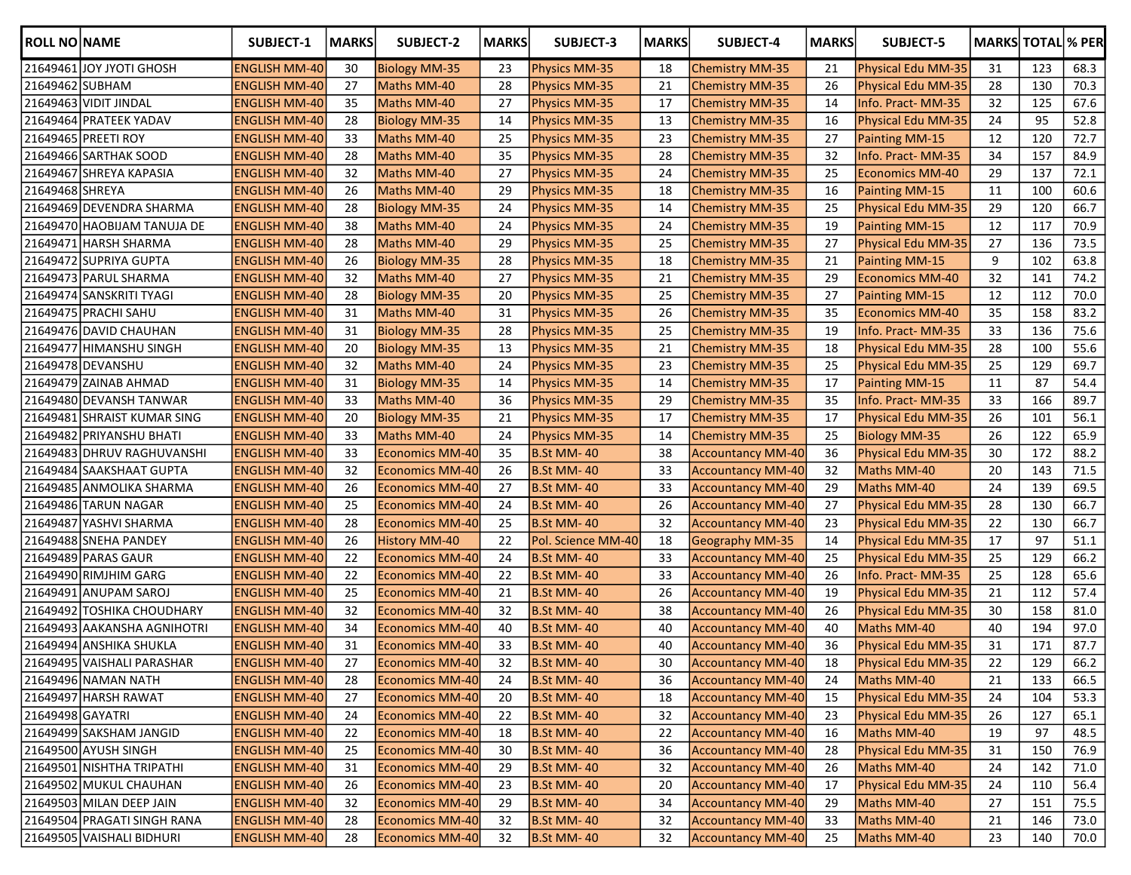| <b>ROLL NO NAME</b> |                             | <b>SUBJECT-1</b>     | <b>MARKS</b> | SUBJECT-2              | <b>MARKS</b> | SUBJECT-3            | <b>MARKS</b> | <b>SUBJECT-4</b>         | <b>MARKS</b> | SUBJECT-5                 | <b>MARKS TOTAL % PER</b> |     |      |
|---------------------|-----------------------------|----------------------|--------------|------------------------|--------------|----------------------|--------------|--------------------------|--------------|---------------------------|--------------------------|-----|------|
|                     | 21649461 JOY JYOTI GHOSH    | <b>ENGLISH MM-40</b> | 30           | <b>Biology MM-35</b>   | 23           | <b>Physics MM-35</b> | 18           | <b>Chemistry MM-35</b>   | 21           | Physical Edu MM-35        | 31                       | 123 | 68.3 |
| 21649462 SUBHAM     |                             | ENGLISH MM-40        | 27           | Maths MM-40            | 28           | Physics MM-35        | 21           | Chemistry MM-35          | 26           | Physical Edu MM-35        | 28                       | 130 | 70.3 |
|                     | 21649463 VIDIT JINDAL       | <b>ENGLISH MM-40</b> | 35           | Maths MM-40            | 27           | <b>Physics MM-35</b> | 17           | Chemistry MM-35          | 14           | Info. Pract-MM-35         | 32                       | 125 | 67.6 |
|                     | 21649464 PRATEEK YADAV      | <b>ENGLISH MM-40</b> | 28           | <b>Biology MM-35</b>   | 14           | <b>Physics MM-35</b> | 13           | Chemistry MM-35          | 16           | <b>Physical Edu MM-35</b> | 24                       | 95  | 52.8 |
|                     | 21649465 PREETI ROY         | <b>ENGLISH MM-40</b> | 33           | Maths MM-40            | 25           | <b>Physics MM-35</b> | 23           | <b>Chemistry MM-35</b>   | 27           | Painting MM-15            | 12                       | 120 | 72.7 |
|                     | 21649466 SARTHAK SOOD       | <b>ENGLISH MM-40</b> | 28           | Maths MM-40            | 35           | <b>Physics MM-35</b> | 28           | <b>Chemistry MM-35</b>   | 32           | Info. Pract-MM-35         | 34                       | 157 | 84.9 |
|                     | 21649467 SHREYA KAPASIA     | <b>ENGLISH MM-40</b> | 32           | Maths MM-40            | 27           | <b>Physics MM-35</b> | 24           | <b>Chemistry MM-35</b>   | 25           | <b>Economics MM-40</b>    | 29                       | 137 | 72.1 |
| 21649468 SHREYA     |                             | <b>ENGLISH MM-40</b> | 26           | Maths MM-40            | 29           | <b>Physics MM-35</b> | 18           | <b>Chemistry MM-35</b>   | 16           | Painting MM-15            | 11                       | 100 | 60.6 |
|                     | 21649469 DEVENDRA SHARMA    | <b>ENGLISH MM-40</b> | 28           | <b>Biology MM-35</b>   | 24           | <b>Physics MM-35</b> | 14           | <b>Chemistry MM-35</b>   | 25           | Physical Edu MM-35        | 29                       | 120 | 66.7 |
|                     | 21649470 HAOBIJAM TANUJA DE | <b>ENGLISH MM-40</b> | 38           | Maths MM-40            | 24           | <b>Physics MM-35</b> | 24           | <b>Chemistry MM-35</b>   | 19           | Painting MM-15            | 12                       | 117 | 70.9 |
|                     | 21649471 HARSH SHARMA       | <b>ENGLISH MM-40</b> | 28           | Maths MM-40            | 29           | <b>Physics MM-35</b> | 25           | <b>Chemistry MM-35</b>   | 27           | Physical Edu MM-35        | 27                       | 136 | 73.5 |
|                     | 21649472 SUPRIYA GUPTA      | <b>ENGLISH MM-40</b> | 26           | <b>Biology MM-35</b>   | 28           | <b>Physics MM-35</b> | 18           | <b>Chemistry MM-35</b>   | 21           | <b>Painting MM-15</b>     | 9                        | 102 | 63.8 |
|                     | 21649473 PARUL SHARMA       | <b>ENGLISH MM-40</b> | 32           | Maths MM-40            | 27           | <b>Physics MM-35</b> | 21           | <b>Chemistry MM-35</b>   | 29           | <b>Economics MM-40</b>    | 32                       | 141 | 74.2 |
|                     | 21649474 SANSKRITI TYAGI    | <b>ENGLISH MM-40</b> | 28           | <b>Biology MM-35</b>   | 20           | <b>Physics MM-35</b> | 25           | Chemistry MM-35          | 27           | Painting MM-15            | 12                       | 112 | 70.0 |
|                     | 21649475 PRACHI SAHU        | <b>ENGLISH MM-40</b> | 31           | Maths MM-40            | 31           | <b>Physics MM-35</b> | 26           | <b>Chemistry MM-35</b>   | 35           | <b>Economics MM-40</b>    | 35                       | 158 | 83.2 |
|                     | 21649476 DAVID CHAUHAN      | <b>ENGLISH MM-40</b> | 31           | <b>Biology MM-35</b>   | 28           | <b>Physics MM-35</b> | 25           | <b>Chemistry MM-35</b>   | 19           | Info. Pract-MM-35         | 33                       | 136 | 75.6 |
|                     | 21649477 HIMANSHU SINGH     | <b>ENGLISH MM-40</b> | 20           | <b>Biology MM-35</b>   | 13           | Physics MM-35        | 21           | <b>Chemistry MM-35</b>   | 18           | <b>Physical Edu MM-35</b> | 28                       | 100 | 55.6 |
|                     | 21649478 DEVANSHU           | <b>ENGLISH MM-40</b> | 32           | Maths MM-40            | 24           | <b>Physics MM-35</b> | 23           | <b>Chemistry MM-35</b>   | 25           | Physical Edu MM-35        | 25                       | 129 | 69.7 |
|                     | 21649479 ZAINAB AHMAD       | <b>ENGLISH MM-40</b> | 31           | <b>Biology MM-35</b>   | 14           | <b>Physics MM-35</b> | 14           | <b>Chemistry MM-35</b>   | 17           | <b>Painting MM-15</b>     | 11                       | 87  | 54.4 |
|                     | 21649480 DEVANSH TANWAR     | <b>ENGLISH MM-40</b> | 33           | Maths MM-40            | 36           | <b>Physics MM-35</b> | 29           | <b>Chemistry MM-35</b>   | 35           | Info. Pract-MM-35         | 33                       | 166 | 89.7 |
|                     | 21649481 SHRAIST KUMAR SING | <b>ENGLISH MM-40</b> | 20           | <b>Biology MM-35</b>   | 21           | <b>Physics MM-35</b> | 17           | <b>Chemistry MM-35</b>   | 17           | Physical Edu MM-35        | 26                       | 101 | 56.1 |
|                     | 21649482 PRIYANSHU BHATI    | <b>ENGLISH MM-40</b> | 33           | Maths MM-40            | 24           | <b>Physics MM-35</b> | 14           | <b>Chemistry MM-35</b>   | 25           | <b>Biology MM-35</b>      | 26                       | 122 | 65.9 |
|                     | 21649483 DHRUV RAGHUVANSHI  | <b>ENGLISH MM-40</b> | 33           | Economics MM-40        | 35           | <b>B.St MM-40</b>    | 38           | <b>Accountancy MM-40</b> | 36           | Physical Edu MM-35        | 30                       | 172 | 88.2 |
|                     | 21649484 SAAKSHAAT GUPTA    | <b>ENGLISH MM-40</b> | 32           | Economics MM-40        | 26           | <b>B.St MM-40</b>    | 33           | <b>Accountancy MM-40</b> | 32           | Maths MM-40               | 20                       | 143 | 71.5 |
|                     | 21649485 ANMOLIKA SHARMA    | <b>ENGLISH MM-40</b> | 26           | Economics MM-40        | 27           | <b>B.St MM-40</b>    | 33           | Accountancy MM-40        | 29           | Maths MM-40               | 24                       | 139 | 69.5 |
|                     | 21649486 TARUN NAGAR        | <b>ENGLISH MM-40</b> | 25           | Economics MM-40        | 24           | <b>B.St MM-40</b>    | 26           | Accountancy MM-40        | 27           | <b>Physical Edu MM-35</b> | 28                       | 130 | 66.7 |
|                     | 21649487 YASHVI SHARMA      | <b>ENGLISH MM-40</b> | 28           | Economics MM-40        | 25           | <b>B.St MM-40</b>    | 32           | <b>Accountancy MM-40</b> | 23           | <b>Physical Edu MM-35</b> | 22                       | 130 | 66.7 |
|                     | 21649488 SNEHA PANDEY       | <b>ENGLISH MM-40</b> | 26           | <b>History MM-40</b>   | 22           | Pol. Science MM-40   | 18           | Geography MM-35          | 14           | <b>Physical Edu MM-35</b> | 17                       | 97  | 51.1 |
|                     | 21649489 PARAS GAUR         | <b>ENGLISH MM-40</b> | 22           | <b>Economics MM-40</b> | 24           | <b>B.St MM-40</b>    | 33           | <b>Accountancy MM-40</b> | 25           | <b>Physical Edu MM-35</b> | 25                       | 129 | 66.2 |
|                     | 21649490 RIMJHIM GARG       | <b>ENGLISH MM-40</b> | 22           | <b>Economics MM-40</b> | 22           | <b>B.St MM-40</b>    | 33           | <b>Accountancy MM-40</b> | 26           | Info. Pract-MM-35         | 25                       | 128 | 65.6 |
|                     | 21649491 ANUPAM SAROJ       | <b>ENGLISH MM-40</b> | 25           | <b>Economics MM-40</b> | 21           | <b>B.St MM-40</b>    | 26           | <b>Accountancy MM-40</b> | 19           | Physical Edu MM-35        | 21                       | 112 | 57.4 |
|                     | 21649492 TOSHIKA CHOUDHARY  | <b>ENGLISH MM-40</b> | 32           | <b>Economics MM-40</b> | 32           | <b>B.St MM-40</b>    | 38           | <b>Accountancy MM-40</b> | 26           | Physical Edu MM-35        | 30                       | 158 | 81.0 |
|                     | 21649493 AAKANSHA AGNIHOTRI | <b>ENGLISH MM-40</b> | 34           | <b>Economics MM-40</b> | 40           | <b>B.St MM-40</b>    | 40           | <b>Accountancy MM-40</b> | 40           | Maths MM-40               | 40                       | 194 | 97.0 |
|                     | 21649494 ANSHIKA SHUKLA     | <b>ENGLISH MM-40</b> | 31           | <b>Economics MM-40</b> | 33           | <b>B.St MM-40</b>    | 40           | <b>Accountancy MM-40</b> | 36           | Physical Edu MM-35        | 31                       | 171 | 87.7 |
|                     | 21649495 VAISHALI PARASHAR  | <b>ENGLISH MM-40</b> | 27           | <b>Economics MM-40</b> | 32           | B.St MM-40           | $30\,$       | <b>Accountancy MM-40</b> | 18           | Physical Edu MM-35        | 22                       | 129 | 66.2 |
|                     | 21649496 NAMAN NATH         | <b>ENGLISH MM-40</b> | 28           | <b>Economics MM-40</b> | 24           | <b>B.St MM-40</b>    | 36           | <b>Accountancy MM-40</b> | 24           | Maths MM-40               | 21                       | 133 | 66.5 |
|                     | 21649497 HARSH RAWAT        | <b>ENGLISH MM-40</b> | 27           | <b>Economics MM-40</b> | 20           | <b>B.St MM-40</b>    | 18           | <b>Accountancy MM-40</b> | 15           | Physical Edu MM-35        | 24                       | 104 | 53.3 |
| 21649498 GAYATRI    |                             | <b>ENGLISH MM-40</b> | 24           | <b>Economics MM-40</b> | 22           | <b>B.St MM-40</b>    | 32           | Accountancy MM-40        | 23           | Physical Edu MM-35        | 26                       | 127 | 65.1 |
|                     | 21649499 SAKSHAM JANGID     | <b>ENGLISH MM-40</b> | 22           | <b>Economics MM-40</b> | 18           | <b>B.St MM-40</b>    | 22           | <b>Accountancy MM-40</b> | 16           | Maths MM-40               | 19                       | 97  | 48.5 |
|                     | 21649500 AYUSH SINGH        | <b>ENGLISH MM-40</b> | 25           | <b>Economics MM-40</b> | 30           | <b>B.St MM-40</b>    | 36           | <b>Accountancy MM-40</b> | 28           | Physical Edu MM-35        | 31                       | 150 | 76.9 |
|                     | 21649501 NISHTHA TRIPATHI   | <b>ENGLISH MM-40</b> | 31           | <b>Economics MM-40</b> | 29           | <b>B.St MM-40</b>    | 32           | <b>Accountancy MM-40</b> | 26           | Maths MM-40               | 24                       | 142 | 71.0 |
|                     | 21649502 MUKUL CHAUHAN      | <b>ENGLISH MM-40</b> | 26           | <b>Economics MM-40</b> | 23           | <b>B.St MM-40</b>    | 20           | <b>Accountancy MM-40</b> | 17           | Physical Edu MM-35        | 24                       | 110 | 56.4 |
|                     | 21649503 MILAN DEEP JAIN    | <b>ENGLISH MM-40</b> | 32           | <b>Economics MM-40</b> | 29           | <b>B.St MM-40</b>    | 34           | Accountancy MM-40        | 29           | Maths MM-40               | 27                       | 151 | 75.5 |
|                     | 21649504 PRAGATI SINGH RANA | <b>ENGLISH MM-40</b> | 28           | <b>Economics MM-40</b> | 32           | <b>B.St MM-40</b>    | 32           | Accountancy MM-40        | 33           | Maths MM-40               | 21                       | 146 | 73.0 |
|                     | 21649505 VAISHALI BIDHURI   | <b>ENGLISH MM-40</b> | 28           | Economics MM-40        | 32           | <b>B.St MM-40</b>    | 32           | Accountancy MM-40        | 25           | Maths MM-40               | 23                       | 140 | 70.0 |